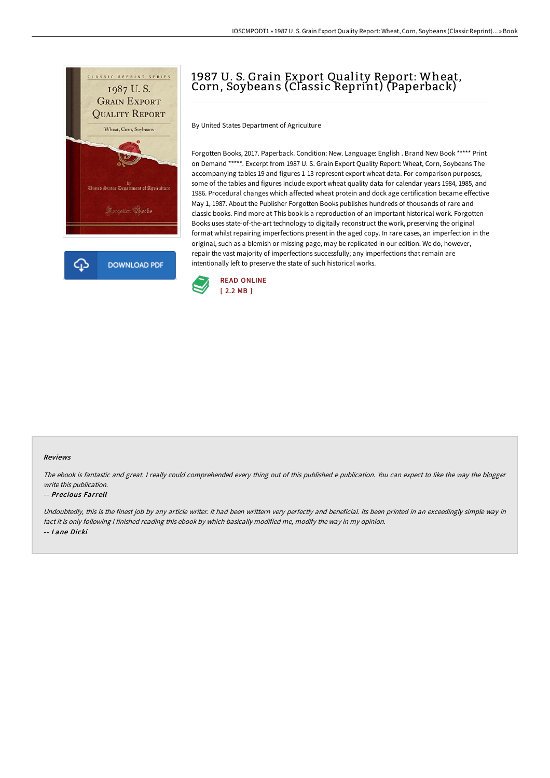

## 1987 U. S. Grain Export Quality Report: Wheat, Corn, Soybeans (Classic Reprint) (Paperback)

By United States Department of Agriculture

Forgotten Books, 2017. Paperback. Condition: New. Language: English . Brand New Book \*\*\*\*\* Print on Demand \*\*\*\*\*. Excerpt from 1987 U. S. Grain Export Quality Report: Wheat, Corn, Soybeans The accompanying tables 19 and figures 1-13 represent export wheat data. For comparison purposes, some of the tables and figures include export wheat quality data for calendar years 1984, 1985, and 1986. Procedural changes which affected wheat protein and dock age certification became effective May 1, 1987. About the Publisher Forgotten Books publishes hundreds of thousands of rare and classic books. Find more at This book is a reproduction of an important historical work. Forgotten Books uses state-of-the-art technology to digitally reconstruct the work, preserving the original format whilst repairing imperfections present in the aged copy. In rare cases, an imperfection in the original, such as a blemish or missing page, may be replicated in our edition. We do, however, repair the vast majority of imperfections successfully; any imperfections that remain are intentionally left to preserve the state of such historical works.



## Reviews

The ebook is fantastic and great. <sup>I</sup> really could comprehended every thing out of this published <sup>e</sup> publication. You can expect to like the way the blogger write this publication.

## -- Precious Farrell

Undoubtedly, this is the finest job by any article writer. it had been writtern very perfectly and beneficial. Its been printed in an exceedingly simple way in fact it is only following i finished reading this ebook by which basically modified me, modify the way in my opinion. -- Lane Dicki